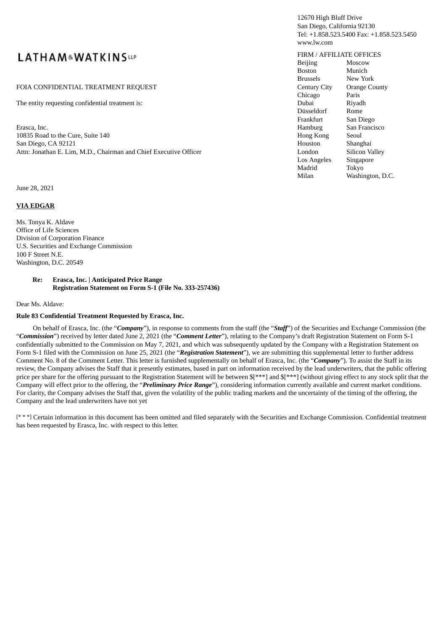# **LATHAM&WATKINSLLP**

#### FOIA CONFIDENTIAL TREATMENT REQUEST COUNTY COUNTY COUNTY OF CHANGE COUNTY OF COUNTY OF COUNTY OF COUNTY OF COUNTY OF COUNTY OF COUNTY OF COUNTY OF COUNTY OF COUNTY OF COUNTY OF COUNTY OF COUNTY OF COUNTY OF COUNTY OF COUNT

The entity requesting confidential treatment is:  $\blacksquare$ 

Erasca, Inc. San Francisco Contractor Communication and the San Francisco Communication and San Francisco Communication and San Francisco Communication and San Francisco Communication and San Francisco Communication and Sa 10835 Road to the Cure, Suite 140 Hong September Section Apple Section 4 Hong Section 4 Hong Section 4 Hong Section 4 Hong Section 4 Hong Section 4 Hong Section 4 Hong Section 4 Hong Section 4 Hong Section 4 Hong Section 4 San Diego, CA 92121 Houston Shanghai Houston Shanghai Houston Shanghai Houston Shanghai Houston Shanghai Houston Shanghai Houston Shanghai Houston Shanghai Houston Shanghai Houston Shanghai Houston Shanghai Houston Shangha Attn: Jonathan E. Lim, M.D., Chairman and Chief Executive Officer **Landon Silicon Silicon Silicon** I

June 28, 2021

#### **VIA EDGAR**

Ms. Tonya K. Aldave Office of Life Sciences Division of Corporation Finance U.S. Securities and Exchange Commission 100 F Street N.E. Washington, D.C. 20549

> **Re: Erasca, Inc. | Anticipated Price Range Registration Statement on Form S-1 (File No. 333-257436)**

Dear Ms. Aldave:

#### **Rule 83 Confidential Treatment Requested by Erasca, Inc.**

On behalf of Erasca, Inc. (the "*Company*"), in response to comments from the staff (the "*Staff*") of the Securities and Exchange Commission (the "*Commission*") received by letter dated June 2, 2021 (the "*Comment Letter*"), relating to the Company's draft Registration Statement on Form S-1 confidentially submitted to the Commission on May 7, 2021, and which was subsequently updated by the Company with a Registration Statement on Form S-1 filed with the Commission on June 25, 2021 (the "*Registration Statement*"), we are submitting this supplemental letter to further address Comment No. 8 of the Comment Letter. This letter is furnished supplementally on behalf of Erasca, Inc. (the "*Company*"). To assist the Staff in its review, the Company advises the Staff that it presently estimates, based in part on information received by the lead underwriters, that the public offering price per share for the offering pursuant to the Registration Statement will be between  $\frac{f^{***}}{g^{***}}$  and  $\frac{f^{***}}{g^{***}}$  (without giving effect to any stock split that the Company will effect prior to the offering, the "*Preliminary Price Range*"), considering information currently available and current market conditions. For clarity, the Company advises the Staff that, given the volatility of the public trading markets and the uncertainty of the timing of the offering, the Company and the lead underwriters have not yet

[\* \* \*] Certain information in this document has been omitted and filed separately with the Securities and Exchange Commission. Confidential treatment has been requested by Erasca, Inc. with respect to this letter.

#### 12670 High Bluff Drive San Diego, California 92130 Tel: +1.858.523.5400 Fax: +1.858.523.5450 www.lw.com

#### FIRM / AFFILIATE OFFICES

| <b>Beijing</b>      | Moscow               |
|---------------------|----------------------|
| <b>Boston</b>       | Munich               |
| <b>Brussels</b>     | New York             |
| <b>Century City</b> | <b>Orange County</b> |
| Chicago             | Paris                |
| Dubai               | Riyadh               |
| Düsseldorf          | Rome                 |
| Frankfurt           | San Diego            |
| Hamburg             | San Francisco        |
| Hong Kong           | Seoul                |
| Houston             | Shanghai             |
| London              | Silicon Valley       |
| Los Angeles         | Singapore            |
| Madrid              | Tokvo                |
| Milan               | Washington, D.C.     |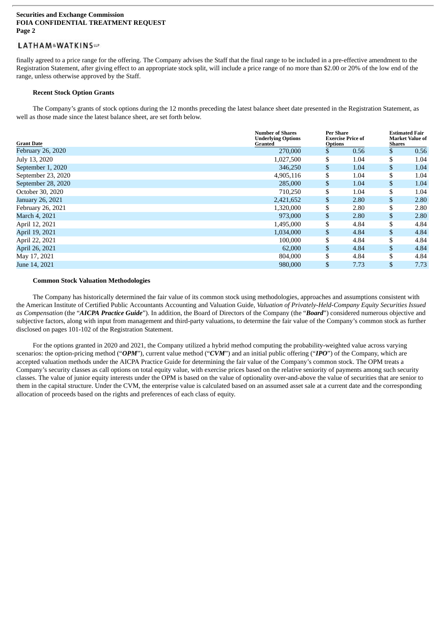### LATHAM&WATKINSLIP

finally agreed to a price range for the offering. The Company advises the Staff that the final range to be included in a pre-effective amendment to the Registration Statement, after giving effect to an appropriate stock split, will include a price range of no more than \$2.00 or 20% of the low end of the range, unless otherwise approved by the Staff.

#### **Recent Stock Option Grants**

The Company's grants of stock options during the 12 months preceding the latest balance sheet date presented in the Registration Statement, as well as those made since the latest balance sheet, are set forth below.

| <b>Grant Date</b>  | <b>Number of Shares</b><br><b>Underlying Options</b><br>Granted | <b>Per Share</b><br><b>Exercise Price of</b><br><b>Options</b> |    | <b>Estimated Fair</b><br><b>Market Value of</b><br><b>Shares</b> |  |
|--------------------|-----------------------------------------------------------------|----------------------------------------------------------------|----|------------------------------------------------------------------|--|
| February 26, 2020  | 270,000                                                         | \$<br>0.56                                                     | \$ | 0.56                                                             |  |
| July 13, 2020      | 1,027,500                                                       | \$<br>1.04                                                     | \$ | 1.04                                                             |  |
| September 1, 2020  | 346,250                                                         | \$<br>1.04                                                     | \$ | 1.04                                                             |  |
| September 23, 2020 | 4,905,116                                                       | \$<br>1.04                                                     | \$ | 1.04                                                             |  |
| September 28, 2020 | 285,000                                                         | \$<br>1.04                                                     | \$ | 1.04                                                             |  |
| October 30, 2020   | 710,250                                                         | \$<br>1.04                                                     | \$ | 1.04                                                             |  |
| January 26, 2021   | 2,421,652                                                       | \$<br>2.80                                                     | \$ | 2.80                                                             |  |
| February 26, 2021  | 1,320,000                                                       | \$<br>2.80                                                     | \$ | 2.80                                                             |  |
| March 4, 2021      | 973,000                                                         | \$<br>2.80                                                     | \$ | 2.80                                                             |  |
| April 12, 2021     | 1,495,000                                                       | \$<br>4.84                                                     | \$ | 4.84                                                             |  |
| April 19, 2021     | 1,034,000                                                       | \$<br>4.84                                                     | \$ | 4.84                                                             |  |
| April 22, 2021     | 100,000                                                         | \$<br>4.84                                                     | \$ | 4.84                                                             |  |
| April 26, 2021     | 62,000                                                          | \$<br>4.84                                                     | \$ | 4.84                                                             |  |
| May 17, 2021       | 804,000                                                         | \$<br>4.84                                                     | \$ | 4.84                                                             |  |
| June 14, 2021      | 980,000                                                         | \$<br>7.73                                                     | \$ | 7.73                                                             |  |

#### **Common Stock Valuation Methodologies**

The Company has historically determined the fair value of its common stock using methodologies, approaches and assumptions consistent with the American Institute of Certified Public Accountants Accounting and Valuation Guide, *Valuation of Privately-Held-Company Equity Securities Issued as Compensation* (the "*AICPA Practice Guide*"). In addition, the Board of Directors of the Company (the "*Board*") considered numerous objective and subjective factors, along with input from management and third-party valuations, to determine the fair value of the Company's common stock as further disclosed on pages 101-102 of the Registration Statement.

For the options granted in 2020 and 2021, the Company utilized a hybrid method computing the probability-weighted value across varying scenarios: the option-pricing method ("*OPM*"), current value method ("*CVM*") and an initial public offering ("*IPO*") of the Company, which are accepted valuation methods under the AICPA Practice Guide for determining the fair value of the Company's common stock. The OPM treats a Company's security classes as call options on total equity value, with exercise prices based on the relative seniority of payments among such security classes. The value of junior equity interests under the OPM is based on the value of optionality over-and-above the value of securities that are senior to them in the capital structure. Under the CVM, the enterprise value is calculated based on an assumed asset sale at a current date and the corresponding allocation of proceeds based on the rights and preferences of each class of equity.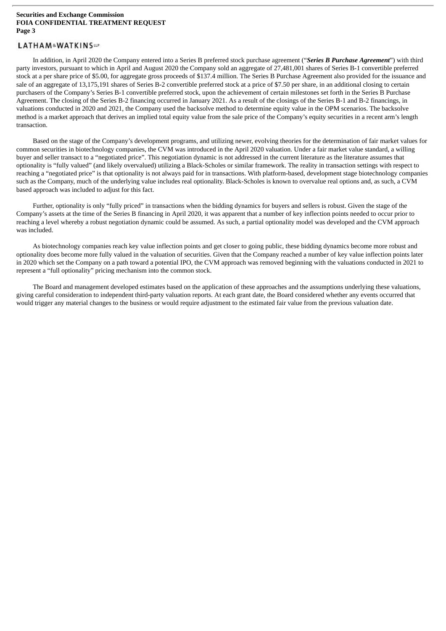### LATHAM&WATKINSLIP

In addition, in April 2020 the Company entered into a Series B preferred stock purchase agreement ("*Series B Purchase Agreement*") with third party investors, pursuant to which in April and August 2020 the Company sold an aggregate of 27,481,001 shares of Series B-1 convertible preferred stock at a per share price of \$5.00, for aggregate gross proceeds of \$137.4 million. The Series B Purchase Agreement also provided for the issuance and sale of an aggregate of 13,175,191 shares of Series B-2 convertible preferred stock at a price of \$7.50 per share, in an additional closing to certain purchasers of the Company's Series B-1 convertible preferred stock, upon the achievement of certain milestones set forth in the Series B Purchase Agreement. The closing of the Series B-2 financing occurred in January 2021. As a result of the closings of the Series B-1 and B-2 financings, in valuations conducted in 2020 and 2021, the Company used the backsolve method to determine equity value in the OPM scenarios. The backsolve method is a market approach that derives an implied total equity value from the sale price of the Company's equity securities in a recent arm's length transaction.

Based on the stage of the Company's development programs, and utilizing newer, evolving theories for the determination of fair market values for common securities in biotechnology companies, the CVM was introduced in the April 2020 valuation. Under a fair market value standard, a willing buyer and seller transact to a "negotiated price". This negotiation dynamic is not addressed in the current literature as the literature assumes that optionality is "fully valued" (and likely overvalued) utilizing a Black-Scholes or similar framework. The reality in transaction settings with respect to reaching a "negotiated price" is that optionality is not always paid for in transactions. With platform-based, development stage biotechnology companies such as the Company, much of the underlying value includes real optionality. Black-Scholes is known to overvalue real options and, as such, a CVM based approach was included to adjust for this fact.

Further, optionality is only "fully priced" in transactions when the bidding dynamics for buyers and sellers is robust. Given the stage of the Company's assets at the time of the Series B financing in April 2020, it was apparent that a number of key inflection points needed to occur prior to reaching a level whereby a robust negotiation dynamic could be assumed. As such, a partial optionality model was developed and the CVM approach was included.

As biotechnology companies reach key value inflection points and get closer to going public, these bidding dynamics become more robust and optionality does become more fully valued in the valuation of securities. Given that the Company reached a number of key value inflection points later in 2020 which set the Company on a path toward a potential IPO, the CVM approach was removed beginning with the valuations conducted in 2021 to represent a "full optionality" pricing mechanism into the common stock.

The Board and management developed estimates based on the application of these approaches and the assumptions underlying these valuations, giving careful consideration to independent third-party valuation reports. At each grant date, the Board considered whether any events occurred that would trigger any material changes to the business or would require adjustment to the estimated fair value from the previous valuation date.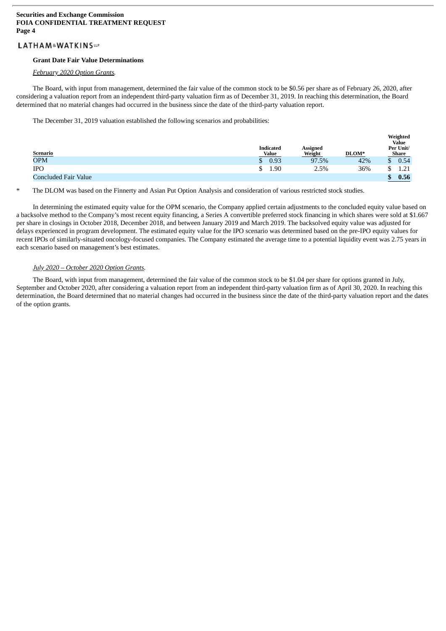### LATHAM&WATKINSLIP

#### **Grant Date Fair Value Determinations**

#### *February 2020 Option Grants.*

The Board, with input from management, determined the fair value of the common stock to be \$0.56 per share as of February 26, 2020, after considering a valuation report from an independent third-party valuation firm as of December 31, 2019. In reaching this determination, the Board determined that no material changes had occurred in the business since the date of the third-party valuation report.

The December 31, 2019 valuation established the following scenarios and probabilities:

| <u>Scenario</u>      | <b>Indicated</b><br><b>Value</b> | <b>Assigned</b><br>Weight | DLOM* | Weighted<br><b>Value</b><br>Per Unit/<br><b>Share</b> |               |
|----------------------|----------------------------------|---------------------------|-------|-------------------------------------------------------|---------------|
| <b>OPM</b>           | 0.93                             | 97.5%                     | 42%   | \$                                                    | 0.54          |
| <b>IPO</b>           | 1.90                             | 2.5%                      | 36%   | ୷                                                     | - 21<br>1.Z 1 |
| Concluded Fair Value |                                  |                           |       | æ                                                     | 0.56          |

The DLOM was based on the Finnerty and Asian Put Option Analysis and consideration of various restricted stock studies.

In determining the estimated equity value for the OPM scenario, the Company applied certain adjustments to the concluded equity value based on a backsolve method to the Company's most recent equity financing, a Series A convertible preferred stock financing in which shares were sold at \$1.667 per share in closings in October 2018, December 2018, and between January 2019 and March 2019. The backsolved equity value was adjusted for delays experienced in program development. The estimated equity value for the IPO scenario was determined based on the pre-IPO equity values for recent IPOs of similarly-situated oncology-focused companies. The Company estimated the average time to a potential liquidity event was 2.75 years in each scenario based on management's best estimates.

### *July 2020 – October 2020 Option Grants.*

The Board, with input from management, determined the fair value of the common stock to be \$1.04 per share for options granted in July, September and October 2020, after considering a valuation report from an independent third-party valuation firm as of April 30, 2020. In reaching this determination, the Board determined that no material changes had occurred in the business since the date of the third-party valuation report and the dates of the option grants.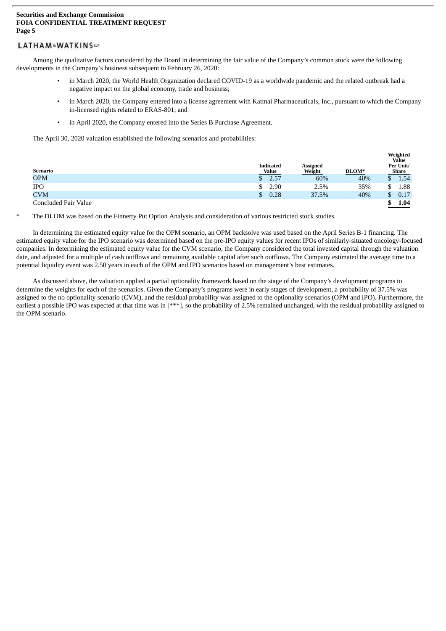### LATHAM&WATKINSLIP

Among the qualitative factors considered by the Board in determining the fair value of the Company's common stock were the following developments in the Company's business subsequent to February 26, 2020:

- in March 2020, the World Health Organization declared COVID-19 as a worldwide pandemic and the related outbreak had a negative impact on the global economy, trade and business;
- in March 2020, the Company entered into a license agreement with Katmai Pharmaceuticals, Inc., pursuant to which the Company in-licensed rights related to ERAS-801; and

**Weighted**

in April 2020, the Company entered into the Series B Purchase Agreement.

The April 30, 2020 valuation established the following scenarios and probabilities:

| <u>Scenario</u>      |    | <b>Indicated</b><br>Value | <b>Assigned</b><br>Weight | DLOM* | $\cdots$<br><b>Value</b><br>Per Unit/<br><b>Share</b> |
|----------------------|----|---------------------------|---------------------------|-------|-------------------------------------------------------|
| <b>OPM</b>           |    | 2.57                      | 60%                       | 40%   | 1.54                                                  |
| <b>IPO</b>           |    | 2.90                      | 2.5%                      | 35%   | \$<br>1.88                                            |
| <b>CVM</b>           | S. | 0.28                      | 37.5%                     | 40%   | \$<br>0.17                                            |
| Concluded Fair Value |    |                           |                           |       | 1.04                                                  |

The DLOM was based on the Finnerty Put Option Analysis and consideration of various restricted stock studies.

In determining the estimated equity value for the OPM scenario, an OPM backsolve was used based on the April Series B-1 financing. The estimated equity value for the IPO scenario was determined based on the pre-IPO equity values for recent IPOs of similarly-situated oncology-focused companies. In determining the estimated equity value for the CVM scenario, the Company considered the total invested capital through the valuation date, and adjusted for a multiple of cash outflows and remaining available capital after such outflows. The Company estimated the average time to a potential liquidity event was 2.50 years in each of the OPM and IPO scenarios based on management's best estimates.

As discussed above, the valuation applied a partial optionality framework based on the stage of the Company's development programs to determine the weights for each of the scenarios. Given the Company's programs were in early stages of development, a probability of 37.5% was assigned to the no optionality scenario (CVM), and the residual probability was assigned to the optionality scenarios (OPM and IPO). Furthermore, the earliest a possible IPO was expected at that time was in [\*\*\*], so the probability of 2.5% remained unchanged, with the residual probability assigned to the OPM scenario.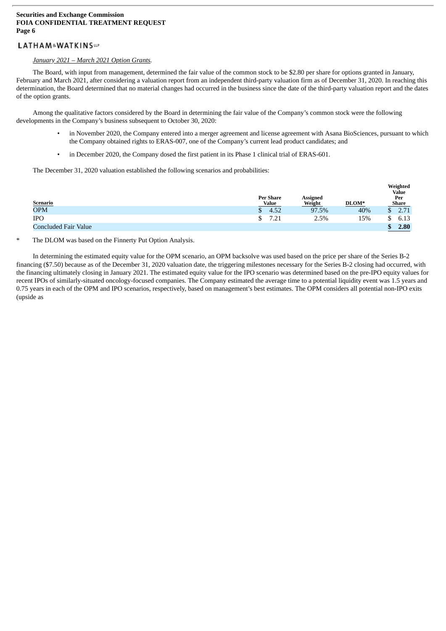### LATHAM&WATKINSLIP

#### *January 2021 – March 2021 Option Grants.*

The Board, with input from management, determined the fair value of the common stock to be \$2.80 per share for options granted in January, February and March 2021, after considering a valuation report from an independent third-party valuation firm as of December 31, 2020. In reaching this determination, the Board determined that no material changes had occurred in the business since the date of the third-party valuation report and the dates of the option grants.

Among the qualitative factors considered by the Board in determining the fair value of the Company's common stock were the following developments in the Company's business subsequent to October 30, 2020:

- in November 2020, the Company entered into a merger agreement and license agreement with Asana BioSciences, pursuant to which the Company obtained rights to ERAS-007, one of the Company's current lead product candidates; and
- in December 2020, the Company dosed the first patient in its Phase 1 clinical trial of ERAS-601.

The December 31, 2020 valuation established the following scenarios and probabilities:

| <b>Scenario</b>      | <b>Per Share</b><br>Value | <b>Assigned</b><br>Weight | DLOM* | Weighted<br><b>Value</b><br>Per<br><b>Share</b> |
|----------------------|---------------------------|---------------------------|-------|-------------------------------------------------|
| <b>OPM</b>           | 4.52                      | 97.5%                     | 40%   | \$<br>2.71                                      |
| <b>IPO</b>           | 7.21                      | 2.5%                      | 15%   | \$<br>6.13                                      |
| Concluded Fair Value |                           |                           |       | \$<br>2.80                                      |

#### The DLOM was based on the Finnerty Put Option Analysis.

In determining the estimated equity value for the OPM scenario, an OPM backsolve was used based on the price per share of the Series B-2 financing (\$7.50) because as of the December 31, 2020 valuation date, the triggering milestones necessary for the Series B-2 closing had occurred, with the financing ultimately closing in January 2021. The estimated equity value for the IPO scenario was determined based on the pre-IPO equity values for recent IPOs of similarly-situated oncology-focused companies. The Company estimated the average time to a potential liquidity event was 1.5 years and 0.75 years in each of the OPM and IPO scenarios, respectively, based on management's best estimates. The OPM considers all potential non-IPO exits (upside as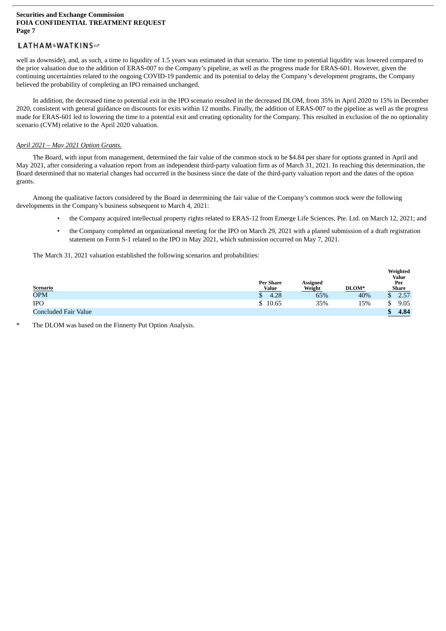### LATHAM&WATKINSLP

well as downside), and, as such, a time to liquidity of 1.5 years was estimated in that scenario. The time to potential liquidity was lowered compared to the prior valuation due to the addition of ERAS-007 to the Company's pipeline, as well as the progress made for ERAS-601. However, given the continuing uncertainties related to the ongoing COVID-19 pandemic and its potential to delay the Company's development programs, the Company believed the probability of completing an IPO remained unchanged.

In addition, the decreased time to potential exit in the IPO scenario resulted in the decreased DLOM, from 35% in April 2020 to 15% in December 2020, consistent with general guidance on discounts for exits within 12 months. Finally, the addition of ERAS-007 to the pipeline as well as the progress made for ERAS-601 led to lowering the time to a potential exit and creating optionality for the Company. This resulted in exclusion of the no optionality scenario (CVM) relative to the April 2020 valuation.

#### *April 2021 – May 2021 Option Grants.*

The Board, with input from management, determined the fair value of the common stock to be \$4.84 per share for options granted in April and May 2021, after considering a valuation report from an independent third-party valuation firm as of March 31, 2021. In reaching this determination, the Board determined that no material changes had occurred in the business since the date of the third-party valuation report and the dates of the option grants.

Among the qualitative factors considered by the Board in determining the fair value of the Company's common stock were the following developments in the Company's business subsequent to March 4, 2021:

- the Company acquired intellectual property rights related to ERAS-12 from Emerge Life Sciences, Pte. Ltd. on March 12, 2021; and
- the Company completed an organizational meeting for the IPO on March 29, 2021 with a planed submission of a draft registration statement on Form S-1 related to the IPO in May 2021, which submission occurred on May 7, 2021.

The March 31, 2021 valuation established the following scenarios and probabilities:

|                      | <b>Per Share</b> | Assigned |       | Weighted<br>Value<br>Per |
|----------------------|------------------|----------|-------|--------------------------|
| <b>Scenario</b>      | <b>Value</b>     | Weight   | DLOM* | Share                    |
| <b>OPM</b>           | 4.28             | 65%      | 40%   | 2.57                     |
| <b>IPO</b>           | 10.65            | 35%      | 15%   | 9.05<br>\$               |
| Concluded Fair Value |                  |          |       | 4.84                     |

The DLOM was based on the Finnerty Put Option Analysis.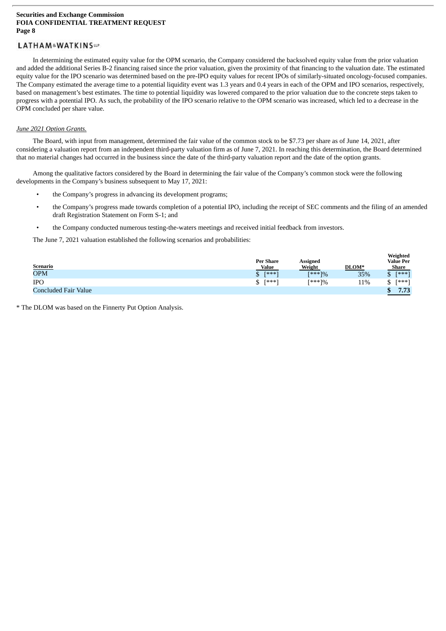### LATHAM&WATKINSLIP

In determining the estimated equity value for the OPM scenario, the Company considered the backsolved equity value from the prior valuation and added the additional Series B-2 financing raised since the prior valuation, given the proximity of that financing to the valuation date. The estimated equity value for the IPO scenario was determined based on the pre-IPO equity values for recent IPOs of similarly-situated oncology-focused companies. The Company estimated the average time to a potential liquidity event was 1.3 years and 0.4 years in each of the OPM and IPO scenarios, respectively, based on management's best estimates. The time to potential liquidity was lowered compared to the prior valuation due to the concrete steps taken to progress with a potential IPO. As such, the probability of the IPO scenario relative to the OPM scenario was increased, which led to a decrease in the OPM concluded per share value.

#### *June 2021 Option Grants.*

The Board, with input from management, determined the fair value of the common stock to be \$7.73 per share as of June 14, 2021, after considering a valuation report from an independent third-party valuation firm as of June 7, 2021. In reaching this determination, the Board determined that no material changes had occurred in the business since the date of the third-party valuation report and the date of the option grants.

Among the qualitative factors considered by the Board in determining the fair value of the Company's common stock were the following developments in the Company's business subsequent to May 17, 2021:

- the Company's progress in advancing its development programs;
- the Company's progress made towards completion of a potential IPO, including the receipt of SEC comments and the filing of an amended draft Registration Statement on Form S-1; and
- the Company conducted numerous testing-the-waters meetings and received initial feedback from investors.

The June 7, 2021 valuation established the following scenarios and probabilities:

| <b>Scenario</b>      | <b>Per Share</b><br><b>Value</b> | Assigned<br>Weight | DLOM* | Weighted<br><b>Value Per</b><br><b>Share</b> |
|----------------------|----------------------------------|--------------------|-------|----------------------------------------------|
| <b>OPM</b>           | $[x**!]$<br>Φ<br>Φ               | $[***]%$           | 35%   | $F***1$<br>\$                                |
| <b>IPO</b>           | $[***]$<br>¢<br>J                | [***]%             | 11%   | [***]<br>¢<br>J                              |
| Concluded Fair Value |                                  |                    |       | 7.73<br>¢<br>Φ                               |

\* The DLOM was based on the Finnerty Put Option Analysis.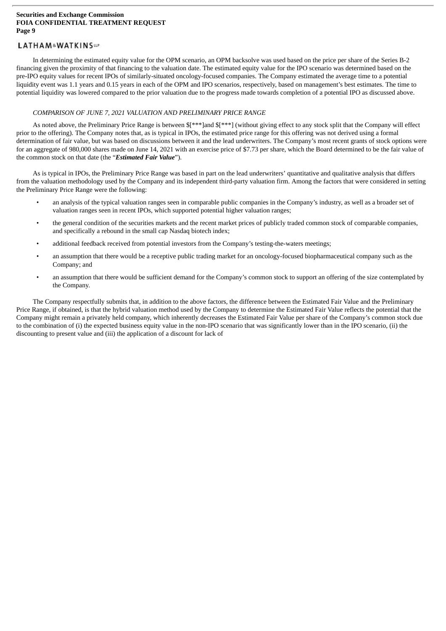### LATHAM&WATKINSLIP

In determining the estimated equity value for the OPM scenario, an OPM backsolve was used based on the price per share of the Series B-2 financing given the proximity of that financing to the valuation date. The estimated equity value for the IPO scenario was determined based on the pre-IPO equity values for recent IPOs of similarly-situated oncology-focused companies. The Company estimated the average time to a potential liquidity event was 1.1 years and 0.15 years in each of the OPM and IPO scenarios, respectively, based on management's best estimates. The time to potential liquidity was lowered compared to the prior valuation due to the progress made towards completion of a potential IPO as discussed above.

#### *COMPARISON OF JUNE 7, 2021 VALUATION AND PRELIMINARY PRICE RANGE*

As noted above, the Preliminary Price Range is between \$[\*\*\*]and \$[\*\*\*] (without giving effect to any stock split that the Company will effect prior to the offering). The Company notes that, as is typical in IPOs, the estimated price range for this offering was not derived using a formal determination of fair value, but was based on discussions between it and the lead underwriters. The Company's most recent grants of stock options were for an aggregate of 980,000 shares made on June 14, 2021 with an exercise price of \$7.73 per share, which the Board determined to be the fair value of the common stock on that date (the "*Estimated Fair Value*").

As is typical in IPOs, the Preliminary Price Range was based in part on the lead underwriters' quantitative and qualitative analysis that differs from the valuation methodology used by the Company and its independent third-party valuation firm. Among the factors that were considered in setting the Preliminary Price Range were the following:

- an analysis of the typical valuation ranges seen in comparable public companies in the Company's industry, as well as a broader set of valuation ranges seen in recent IPOs, which supported potential higher valuation ranges;
- the general condition of the securities markets and the recent market prices of publicly traded common stock of comparable companies, and specifically a rebound in the small cap Nasdaq biotech index;
- additional feedback received from potential investors from the Company's testing-the-waters meetings;
- an assumption that there would be a receptive public trading market for an oncology-focused biopharmaceutical company such as the Company; and
- an assumption that there would be sufficient demand for the Company's common stock to support an offering of the size contemplated by the Company.

The Company respectfully submits that, in addition to the above factors, the difference between the Estimated Fair Value and the Preliminary Price Range, if obtained, is that the hybrid valuation method used by the Company to determine the Estimated Fair Value reflects the potential that the Company might remain a privately held company, which inherently decreases the Estimated Fair Value per share of the Company's common stock due to the combination of (i) the expected business equity value in the non-IPO scenario that was significantly lower than in the IPO scenario, (ii) the discounting to present value and (iii) the application of a discount for lack of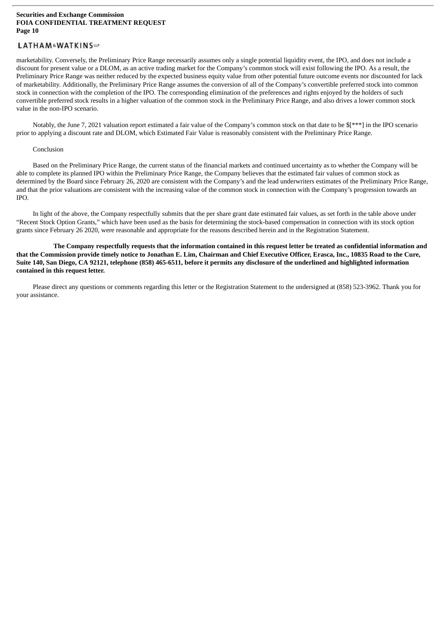### LATHAM&WATKINSLIP

marketability. Conversely, the Preliminary Price Range necessarily assumes only a single potential liquidity event, the IPO, and does not include a discount for present value or a DLOM, as an active trading market for the Company's common stock will exist following the IPO. As a result, the Preliminary Price Range was neither reduced by the expected business equity value from other potential future outcome events nor discounted for lack of marketability. Additionally, the Preliminary Price Range assumes the conversion of all of the Company's convertible preferred stock into common stock in connection with the completion of the IPO. The corresponding elimination of the preferences and rights enjoyed by the holders of such convertible preferred stock results in a higher valuation of the common stock in the Preliminary Price Range, and also drives a lower common stock value in the non-IPO scenario.

Notably, the June 7, 2021 valuation report estimated a fair value of the Company's common stock on that date to be \$[\*\*\*] in the IPO scenario prior to applying a discount rate and DLOM, which Estimated Fair Value is reasonably consistent with the Preliminary Price Range.

#### Conclusion

Based on the Preliminary Price Range, the current status of the financial markets and continued uncertainty as to whether the Company will be able to complete its planned IPO within the Preliminary Price Range, the Company believes that the estimated fair values of common stock as determined by the Board since February 26, 2020 are consistent with the Company's and the lead underwriters estimates of the Preliminary Price Range, and that the prior valuations are consistent with the increasing value of the common stock in connection with the Company's progression towards an IPO.

In light of the above, the Company respectfully submits that the per share grant date estimated fair values, as set forth in the table above under "Recent Stock Option Grants," which have been used as the basis for determining the stock-based compensation in connection with its stock option grants since February 26 2020, were reasonable and appropriate for the reasons described herein and in the Registration Statement.

The Company respectfully requests that the information contained in this request letter be treated as confidential information and that the Commission provide timely notice to Jonathan E. Lim, Chairman and Chief Executive Officer, Erasca, Inc., 10835 Road to the Cure, Suite 140, San Diego, CA 92121, telephone (858) 465-6511, before it permits any disclosure of the underlined and highlighted information **contained in this request letter.**

Please direct any questions or comments regarding this letter or the Registration Statement to the undersigned at (858) 523-3962. Thank you for your assistance.